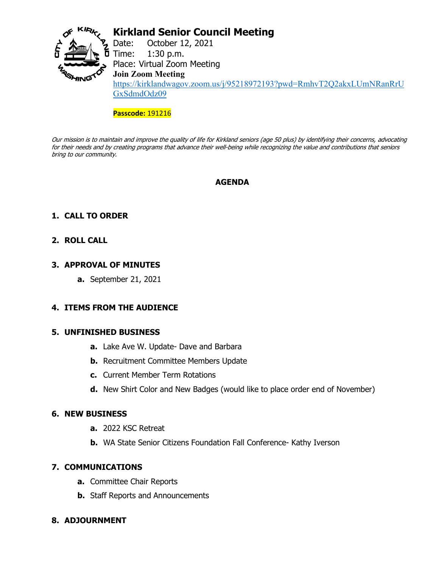

# **Kirkland Senior Council Meeting**

Date: October 12, 2021  $\overline{D}$  Time: 1:30 p.m. Place: Virtual Zoom Meeting **Join Zoom Meeting** [https://kirklandwagov.zoom.us/j/95218972193?pwd=RmhvT2Q2akxLUmNRanRrU](https://kirklandwagov.zoom.us/j/95218972193?pwd=RmhvT2Q2akxLUmNRanRrUGxSdmdOdz09) [GxSdmdOdz09](https://kirklandwagov.zoom.us/j/95218972193?pwd=RmhvT2Q2akxLUmNRanRrUGxSdmdOdz09)

#### **Passcode:** 191216

Our mission is to maintain and improve the quality of life for Kirkland seniors (age 50 plus) by identifying their concerns, advocating for their needs and by creating programs that advance their well-being while recognizing the value and contributions that seniors bring to our community.

### **AGENDA**

## **1. CALL TO ORDER**

### **2. ROLL CALL**

#### **3. APPROVAL OF MINUTES**

**a.** September 21, 2021

#### **4. ITEMS FROM THE AUDIENCE**

#### **5. UNFINISHED BUSINESS**

- **a.** Lake Ave W. Update- Dave and Barbara
- **b.** Recruitment Committee Members Update
- **c.** Current Member Term Rotations
- **d.** New Shirt Color and New Badges (would like to place order end of November)

#### **6. NEW BUSINESS**

- **a.** 2022 KSC Retreat
- **b.** WA State Senior Citizens Foundation Fall Conference- Kathy Iverson

#### **7. COMMUNICATIONS**

- **a.** Committee Chair Reports
- **b.** Staff Reports and Announcements

#### **8. ADJOURNMENT**